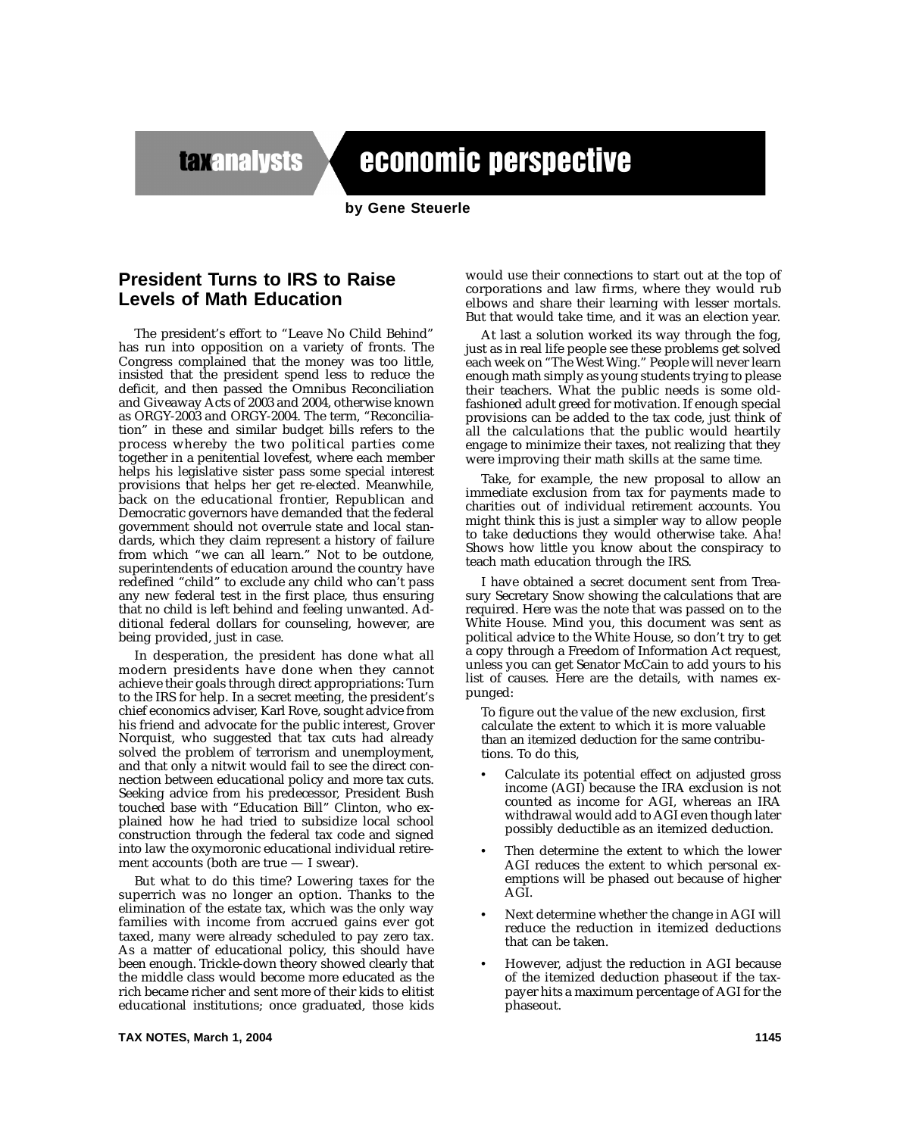**taxanalysts** 

Tax Notes'cnmiulta GeSurlimnates PridntBush' plantoimprve ducation (matheics, ale)throug e"Trickle Down"plicy andtxreu pation.*Tax Notes'*conmisultan pation.

## economic perspective

**by Gene Steuerle**

## **President Turns to IRS to Raise Levels of Math Education**

The president's effort to "Leave No Child Behind" has run into opposition on a variety of fronts. The Congress complained that the money was too little, insisted that the president spend less to reduce the deficit, and then passed the Omnibus Reconciliation and Giveaway Acts of 2003 and 2004, otherwise known as ORGY-2003 and ORGY-2004. The term, "Reconciliation" in these and similar budget bills refers to the process whereby the two political parties come together in a penitential lovefest, where each member helps his legislative sister pass some special interest provisions that helps her get re-elected. Meanwhile, back on the educational frontier, Republican and Democratic governors have demanded that the federal government should not overrule state and local standards, which they claim represent a history of failure from which "we can all learn." Not to be outdone, superintendents of education around the country have redefined "child" to exclude any child who can't pass any new federal test in the first place, thus ensuring that no child is left behind and feeling unwanted. Additional federal dollars for counseling, however, are being provided, just in case.

In desperation, the president has done what all modern presidents have done when they cannot achieve their goals through direct appropriations: Turn to the IRS for help. In a secret meeting, the president's chief economics adviser, Karl Rove, sought advice from his friend and advocate for the public interest, Grover Norquist, who suggested that tax cuts had already solved the problem of terrorism and unemployment, and that only a nitwit would fail to see the direct connection between educational policy and more tax cuts. Seeking advice from his predecessor, President Bush touched base with "Education Bill" Clinton, who explained how he had tried to subsidize local school construction through the federal tax code and signed into law the oxymoronic educational individual retirement accounts (both are true — I swear).

But what to do this time? Lowering taxes for the superrich was no longer an option. Thanks to the elimination of the estate tax, which was the only way families with income from accrued gains ever got taxed, many were already scheduled to pay zero tax. As a matter of educational policy, this should have been enough. Trickle-down theory showed clearly that the middle class would become more educated as the rich became richer and sent more of their kids to elitist educational institutions; once graduated, those kids

would use their connections to start out at the top of corporations and law firms, where they would rub elbows and share their learning with lesser mortals. But that would take time, and it was an election year.

At last a solution worked its way through the fog, just as in real life people see these problems get solved each week on "The West Wing." People will never learn enough math simply as young students trying to please their teachers. What the public needs is some oldfashioned adult greed for motivation. If enough special provisions can be added to the tax code, just think of all the calculations that the public would heartily engage to minimize their taxes, not realizing that they were improving their math skills at the same time.

Take, for example, the new proposal to allow an immediate exclusion from tax for payments made to charities out of individual retirement accounts. You might think this is just a simpler way to allow people to take deductions they would otherwise take. Aha! Shows how little you know about the conspiracy to teach math education through the IRS.

I have obtained a secret document sent from Treasury Secretary Snow showing the calculations that are required. Here was the note that was passed on to the White House. Mind you, this document was sent as political advice to the White House, so don't try to get a copy through a Freedom of Information Act request, unless you can get Senator McCain to add yours to his list of causes. Here are the details, with names expunged:

To figure out the value of the new exclusion, first calculate the extent to which it is more valuable than an itemized deduction for the same contributions. To do this,

- Calculate its potential effect on adjusted gross income (AGI) because the IRA exclusion is not counted as income for AGI, whereas an IRA withdrawal would add to AGI even though later possibly deductible as an itemized deduction.
- Then determine the extent to which the lower AGI reduces the extent to which personal exemptions will be phased out because of higher AGI.
- Next determine whether the change in AGI will reduce the reduction in itemized deductions that can be taken.
- However, adjust the reduction in AGI because of the itemized deduction phaseout if the taxpayer hits a maximum percentage of AGI for the phaseout.